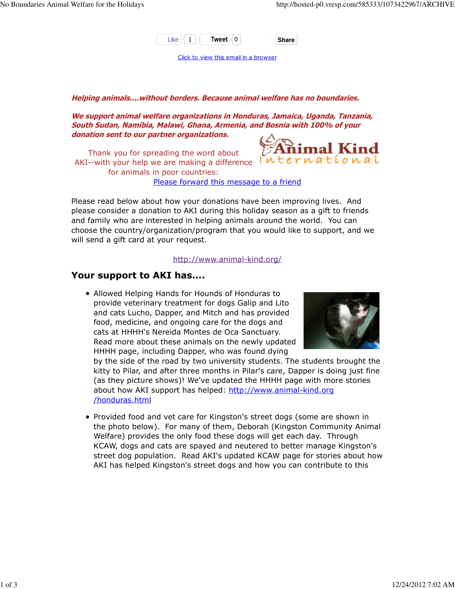

Click to view this email in a browser

## Helping animals....without borders. Because animal welfare has no boundaries.

We support animal welfare organizations in Honduras, Jamaica, Uganda, Tanzania, South Sudan, Namibia, Malawi, Ghana, Armenia, and Bosnia with 100% of your donation sent to our partner organizations.

Thank you for spreading the word about AKI--with your help we are making a difference International for animals in poor countries:



Please forward this message to a friend

Please read below about how your donations have been improving lives. And please consider a donation to AKI during this holiday season as a gift to friends and family who are interested in helping animals around the world. You can choose the country/organization/program that you would like to support, and we will send a gift card at your request.

## http://www.animal-kind.org/

## Your support to AKI has....

Allowed Helping Hands for Hounds of Honduras to provide veterinary treatment for dogs Galip and Lito and cats Lucho, Dapper, and Mitch and has provided food, medicine, and ongoing care for the dogs and cats at HHHH's Nereida Montes de Oca Sanctuary. Read more about these animals on the newly updated HHHH page, including Dapper, who was found dying



by the side of the road by two university students. The students brought the kitty to Pilar, and after three months in Pilar's care, Dapper is doing just fine (as they picture shows)! We've updated the HHHH page with more stories about how AKI support has helped: http://www.animal-kind.org /honduras.html

• Provided food and vet care for Kingston's street dogs (some are shown in the photo below). For many of them, Deborah (Kingston Community Animal Welfare) provides the only food these dogs will get each day. Through KCAW, dogs and cats are spayed and neutered to better manage Kingston's street dog population. Read AKI's updated KCAW page for stories about how AKI has helped Kingston's street dogs and how you can contribute to this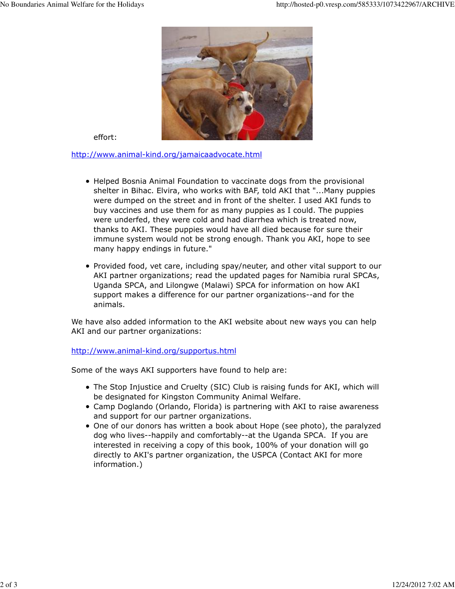

effort:

http://www.animal-kind.org/jamaicaadvocate.html

- Helped Bosnia Animal Foundation to vaccinate dogs from the provisional shelter in Bihac. Elvira, who works with BAF, told AKI that "...Many puppies were dumped on the street and in front of the shelter. I used AKI funds to buy vaccines and use them for as many puppies as I could. The puppies were underfed, they were cold and had diarrhea which is treated now, thanks to AKI. These puppies would have all died because for sure their immune system would not be strong enough. Thank you AKI, hope to see many happy endings in future."
- Provided food, vet care, including spay/neuter, and other vital support to our AKI partner organizations; read the updated pages for Namibia rural SPCAs, Uganda SPCA, and Lilongwe (Malawi) SPCA for information on how AKI support makes a difference for our partner organizations--and for the animals.

We have also added information to the AKI website about new ways you can help AKI and our partner organizations:

http://www.animal-kind.org/supportus.html

Some of the ways AKI supporters have found to help are:

- The Stop Injustice and Cruelty (SIC) Club is raising funds for AKI, which will be designated for Kingston Community Animal Welfare.
- Camp Doglando (Orlando, Florida) is partnering with AKI to raise awareness and support for our partner organizations.
- One of our donors has written a book about Hope (see photo), the paralyzed dog who lives--happily and comfortably--at the Uganda SPCA. If you are interested in receiving a copy of this book, 100% of your donation will go directly to AKI's partner organization, the USPCA (Contact AKI for more information.)